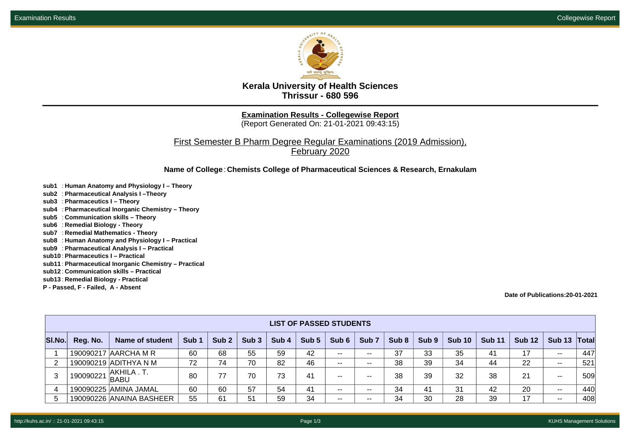

**Kerala University of Health Sciences Thrissur - 680 596**

**Examination Results - Collegewise Report**

(Report Generated On: 21-01-2021 09:43:15)

First Semester B Pharm Degree Regular Examinations (2019 Admission), February 2020

**Name of College**: **Chemists College of Pharmaceutical Sciences & Research, Ernakulam**

- **sub1** : **Human Anatomy and Physiology I Theory**
- **sub2** : **Pharmaceutical Analysis I –Theory**
- **sub3** : **Pharmaceutics I Theory**
- **sub4** : **Pharmaceutical Inorganic Chemistry Theory**
- **sub5** : **Communication skills Theory**
- **sub6** : **Remedial Biology Theory**
- **sub7** : **Remedial Mathematics Theory**
- **sub8** : **Human Anatomy and Physiology I Practical**
- **sub9** : **Pharmaceutical Analysis I Practical**
- **sub10** : **Pharmaceutics I Practical**
- **sub11** : **Pharmaceutical Inorganic Chemistry Practical**
- **sub12** : **Communication skills Practical**
- **sub13** : **Remedial Biology Practical**
- **P Passed, F Failed, A Absent**

**Date of Publications:20-01-2021**

|        | <b>LIST OF PASSED STUDENTS</b> |                            |                  |                  |                  |         |       |       |                  |       |                  |               |               |               |                          |                    |
|--------|--------------------------------|----------------------------|------------------|------------------|------------------|---------|-------|-------|------------------|-------|------------------|---------------|---------------|---------------|--------------------------|--------------------|
| SI.No. | Reg. No.                       | Name of student            | Sub <sub>1</sub> | Sub <sub>2</sub> | Sub <sub>3</sub> | Sub $4$ | Sub 5 | Sub 6 | Sub <sub>7</sub> | Sub 8 | Sub <sub>9</sub> | <b>Sub 10</b> | <b>Sub 11</b> | <b>Sub 12</b> | <b>Sub 13</b>            | $\mathsf{T}$ otall |
|        |                                | 190090217 AARCHA M R       | 60               | 68               | 55               | 59      | 42    | $- -$ | $- -$            | 37    | 33               | 35            | 41            | 17            | $\overline{\phantom{a}}$ | 447                |
| 2      |                                | 190090219 ADITHYA N M      | 72               | 74               | 70               | 82      | 46    | $- -$ | $- -$            | 38    | 39               | 34            | 44            | 22            | $\overline{\phantom{a}}$ | 521                |
| 3      | 190090221                      | AKHILA . T.<br><b>BABU</b> | 80               | 77               | 70               | 73      | 41    | $- -$ | $- -$            | 38    | 39               | 32            | 38            | 21            | $- -$                    | 509                |
| 4      |                                | 190090225 AMINA JAMAL      | 60               | 60               | 57               | 54      | 41    | $- -$ | $- -$            | 34    | -41              | 31            | 42            | 20            | $- -$                    | 440                |
| 5      |                                | 190090226 ANAINA BASHEER   | 55               | 61               | 51               | 59      | 34    | $- -$ | $- -$            | 34    | 30               | 28            | 39            | 17            | $- -$                    | 408                |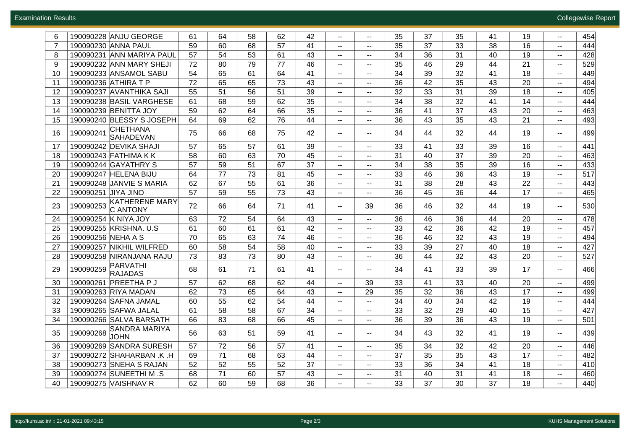| 6              | 190090228 ANJU GEORGE                          | 61 | 64 | 58 | 62 | 42 | $\sim$ $\sim$            | $- -$                       | 35 | 37 | 35 | 41 | 19 | $- -$                    | 454 |
|----------------|------------------------------------------------|----|----|----|----|----|--------------------------|-----------------------------|----|----|----|----|----|--------------------------|-----|
| $\overline{7}$ | 190090230 ANNA PAUL                            | 59 | 60 | 68 | 57 | 41 | $\overline{\phantom{a}}$ | $\sim$                      | 35 | 37 | 33 | 38 | 16 | $\sim$                   | 444 |
| 8              | 190090231 ANN MARIYA PAUL                      | 57 | 54 | 53 | 61 | 43 | $\overline{\phantom{a}}$ | $-$                         | 34 | 36 | 31 | 40 | 19 | $\sim$                   | 428 |
| 9              | 190090232 ANN MARY SHEJI                       | 72 | 80 | 79 | 77 | 46 | $\overline{\phantom{a}}$ | $\overline{\phantom{a}}$    | 35 | 46 | 29 | 44 | 21 | $- -$                    | 529 |
| 10             | 190090233 ANSAMOL SABU                         | 54 | 65 | 61 | 64 | 41 | $\overline{\phantom{a}}$ | $\sim$                      | 34 | 39 | 32 | 41 | 18 | $- -$                    | 449 |
| 11             | 190090236 ATHIRA T P                           | 72 | 65 | 65 | 73 | 43 | $\sim$ $\sim$            | $\overline{\phantom{a}}$    | 36 | 42 | 35 | 43 | 20 | $\sim$                   | 494 |
| 12             | 190090237 AVANTHIKA SAJI                       | 55 | 51 | 56 | 51 | 39 | $\sim$ $\sim$            | $\overline{\phantom{a}}$    | 32 | 33 | 31 | 39 | 18 |                          | 405 |
| 13             | 190090238 BASIL VARGHESE                       | 61 | 68 | 59 | 62 | 35 | $\overline{\phantom{a}}$ | $\sim$                      | 34 | 38 | 32 | 41 | 14 | $- -$                    | 444 |
| 14             | 190090239 BENITTA JOY                          | 59 | 62 | 64 | 66 | 35 | $\overline{\phantom{a}}$ | $\sim$                      | 36 | 41 | 37 | 43 | 20 | $- -$                    | 463 |
| 15             | 190090240 BLESSY S JOSEPH                      | 64 | 69 | 62 | 76 | 44 | $\overline{\phantom{a}}$ | $\overline{\phantom{a}}$    | 36 | 43 | 35 | 43 | 21 | $\sim$                   | 493 |
| 16             | <b>CHETHANA</b><br>190090241<br>SAHADEVAN      | 75 | 66 | 68 | 75 | 42 | $\overline{\phantom{a}}$ | $\sim$                      | 34 | 44 | 32 | 44 | 19 | $- -$                    | 499 |
| 17             | 190090242 DEVIKA SHAJI                         | 57 | 65 | 57 | 61 | 39 | $\sim$ $\sim$            | $- -$                       | 33 | 41 | 33 | 39 | 16 | $- -$                    | 441 |
| 18             | 190090243 FATHIMA K K                          | 58 | 60 | 63 | 70 | 45 | $\overline{\phantom{a}}$ | $\sim$                      | 31 | 40 | 37 | 39 | 20 | $- -$                    | 463 |
| 19             | 190090244 GAYATHRY S                           | 57 | 59 | 51 | 67 | 37 | $\overline{\phantom{a}}$ | $\overline{\phantom{a}}$    | 34 | 38 | 35 | 39 | 16 | $- -$                    | 433 |
| 20             | 190090247 HELENA BIJU                          | 64 | 77 | 73 | 81 | 45 | $\overline{\phantom{a}}$ | $\overline{\phantom{a}}$    | 33 | 46 | 36 | 43 | 19 | $- -$                    | 517 |
| 21             | 190090248 JANVIE S MARIA                       | 62 | 67 | 55 | 61 | 36 | $\overline{\phantom{a}}$ | $\sim$                      | 31 | 38 | 28 | 43 | 22 | $- -$                    | 443 |
| 22             | 190090251 JIYA JINO                            | 57 | 59 | 55 | 73 | 43 | $\overline{\phantom{a}}$ | $\overline{\phantom{a}}$    | 36 | 45 | 36 | 44 | 17 | $\overline{\phantom{a}}$ | 465 |
| 23             | <b>KATHERENE MARY</b><br>190090253<br>C ANTONY | 72 | 66 | 64 | 71 | 41 | $\overline{\phantom{a}}$ | 39                          | 36 | 46 | 32 | 44 | 19 | $\overline{\phantom{a}}$ | 530 |
| 24             | 190090254 K NIYA JOY                           | 63 | 72 | 54 | 64 | 43 | $\overline{\phantom{a}}$ | $-$                         | 36 | 46 | 36 | 44 | 20 | $- -$                    | 478 |
| 25             | 190090255 KRISHNA. U.S.                        | 61 | 60 | 61 | 61 | 42 | $\overline{\phantom{a}}$ | −−                          | 33 | 42 | 36 | 42 | 19 | $\overline{\phantom{a}}$ | 457 |
| 26             | 190090256 NEHA A S                             | 70 | 65 | 63 | 74 | 46 | $\overline{\phantom{a}}$ | $\sim$                      | 36 | 46 | 32 | 43 | 19 | $\sim$                   | 494 |
| 27             | 190090257 NIKHIL WILFRED                       | 60 | 58 | 54 | 58 | 40 | $\sim$ $\sim$            | $- -$                       | 33 | 39 | 27 | 40 | 18 | $\sim$                   | 427 |
| 28             | 190090258 NIRANJANA RAJU                       | 73 | 83 | 73 | 80 | 43 | $\overline{\phantom{a}}$ | $-$                         | 36 | 44 | 32 | 43 | 20 | --                       | 527 |
| 29             | PARVATHI<br>190090259<br><b>RAJADAS</b>        | 68 | 61 | 71 | 61 | 41 | $\overline{\phantom{a}}$ | $-$                         | 34 | 41 | 33 | 39 | 17 | $-$                      | 466 |
| 30             | <b>PREETHAPJ</b><br>190090261                  | 57 | 62 | 68 | 62 | 44 | $\sim$ $\sim$            | 39                          | 33 | 41 | 33 | 40 | 20 | $\sim$                   | 499 |
| 31             | 190090263 RIYA MADAN                           | 62 | 73 | 65 | 64 | 43 | $\overline{\phantom{a}}$ | 29                          | 35 | 32 | 36 | 43 | 17 | $\sim$                   | 499 |
| 32             | 190090264 SAFNA JAMAL                          | 60 | 55 | 62 | 54 | 44 | $\overline{\phantom{a}}$ | $-$                         | 34 | 40 | 34 | 42 | 19 | $\sim$                   | 444 |
| 33             | 190090265 SAFWA JALAL                          | 61 | 58 | 58 | 67 | 34 | $\overline{\phantom{a}}$ | $\sim$                      | 33 | 32 | 29 | 40 | 15 | $\sim$                   | 427 |
| 34             | 190090266 SALVA BARSATH                        | 66 | 83 | 68 | 66 | 45 | $\overline{\phantom{a}}$ | $-$                         | 36 | 39 | 36 | 43 | 19 | $- -$                    | 501 |
| 35             | SANDRA MARIYA<br>190090268<br><b>JOHN</b>      | 56 | 63 | 51 | 59 | 41 | $\overline{\phantom{a}}$ | $\sim$                      | 34 | 43 | 32 | 41 | 19 | $\sim$                   | 439 |
| 36             | 190090269 SANDRA SURESH                        | 57 | 72 | 56 | 57 | 41 | $\sim$ $\sim$            | $\mathcal{L} = \mathcal{L}$ | 35 | 34 | 32 | 42 | 20 | --                       | 446 |
| 37             | 190090272 SHAHARBAN .K .H                      | 69 | 71 | 68 | 63 | 44 | $\overline{\phantom{a}}$ | $-$                         | 37 | 35 | 35 | 43 | 17 | $-$                      | 482 |
| 38             | 190090273 SNEHA S RAJAN                        | 52 | 52 | 55 | 52 | 37 |                          |                             | 33 | 36 | 34 | 41 | 18 |                          | 410 |
| 39             | 190090274 SUNEETHI M .S                        | 68 | 71 | 60 | 57 | 43 | $\sim$ $-$               | $-$                         | 31 | 40 | 31 | 41 | 18 | --                       | 460 |
| 40             | 190090275 VAISHNAV R                           | 62 | 60 | 59 | 68 | 36 | $\sim$                   | $-$                         | 33 | 37 | 30 | 37 | 18 | --                       | 440 |